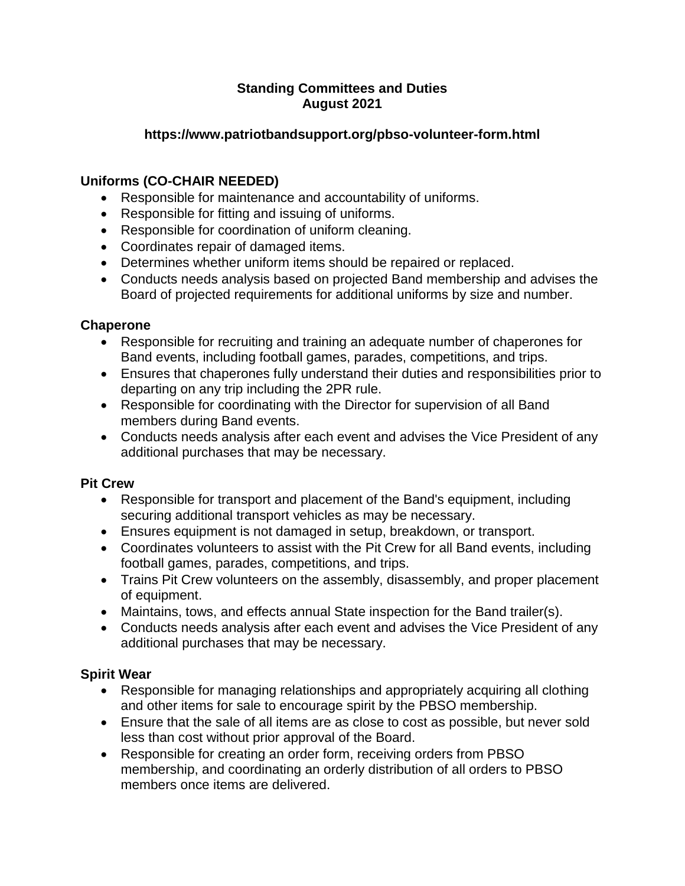### **Standing Committees and Duties August 2021**

## **https://www.patriotbandsupport.org/pbso-volunteer-form.html**

# **Uniforms (CO-CHAIR NEEDED)**

- Responsible for maintenance and accountability of uniforms.
- Responsible for fitting and issuing of uniforms.
- Responsible for coordination of uniform cleaning.
- Coordinates repair of damaged items.
- Determines whether uniform items should be repaired or replaced.
- Conducts needs analysis based on projected Band membership and advises the Board of projected requirements for additional uniforms by size and number.

### **Chaperone**

- Responsible for recruiting and training an adequate number of chaperones for Band events, including football games, parades, competitions, and trips.
- Ensures that chaperones fully understand their duties and responsibilities prior to departing on any trip including the 2PR rule.
- Responsible for coordinating with the Director for supervision of all Band members during Band events.
- Conducts needs analysis after each event and advises the Vice President of any additional purchases that may be necessary.

#### **Pit Crew**

- Responsible for transport and placement of the Band's equipment, including securing additional transport vehicles as may be necessary.
- Ensures equipment is not damaged in setup, breakdown, or transport.
- Coordinates volunteers to assist with the Pit Crew for all Band events, including football games, parades, competitions, and trips.
- Trains Pit Crew volunteers on the assembly, disassembly, and proper placement of equipment.
- Maintains, tows, and effects annual State inspection for the Band trailer(s).
- Conducts needs analysis after each event and advises the Vice President of any additional purchases that may be necessary.

## **Spirit Wear**

- Responsible for managing relationships and appropriately acquiring all clothing and other items for sale to encourage spirit by the PBSO membership.
- Ensure that the sale of all items are as close to cost as possible, but never sold less than cost without prior approval of the Board.
- Responsible for creating an order form, receiving orders from PBSO membership, and coordinating an orderly distribution of all orders to PBSO members once items are delivered.